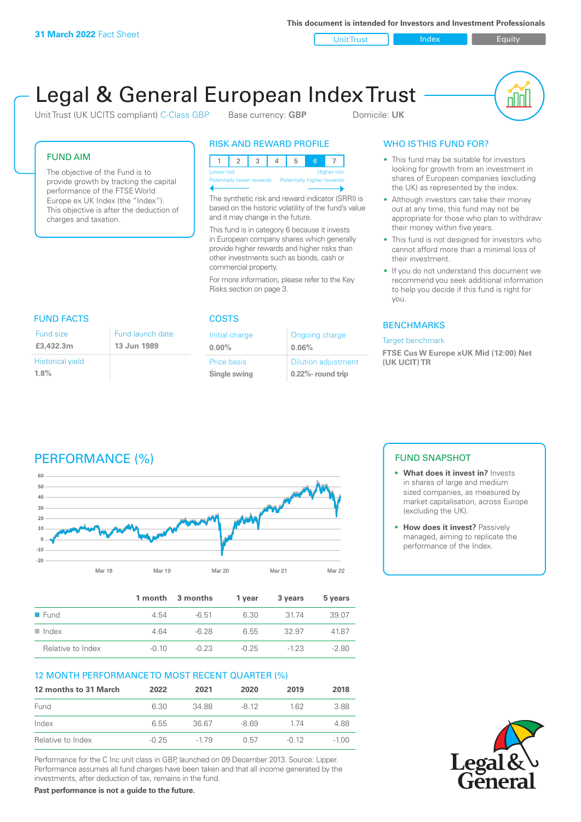**This document is intended for Investors and Investment Professionals**

Unit Trust Index **Index** Equity

# Legal & General European Index Trust

Unit Trust (UK UCITS compliant) C-Class GBP Base currency: **GBP** Domicile: UK



#### FUND AIM

The objective of the Fund is to provide growth by tracking the capital performance of the FTSE World Europe ex UK Index (the "Index"). This objective is after the deduction of charges and taxation.

#### RISK AND REWARD PROFILE

| Lower risk<br><b>Higher risk</b> |  |  |  |  |                            |  |  |
|----------------------------------|--|--|--|--|----------------------------|--|--|
| Potentially lower rewards        |  |  |  |  | Potentially higher rewards |  |  |
|                                  |  |  |  |  |                            |  |  |

The synthetic risk and reward indicator (SRRI) is based on the historic volatility of the fund's value and it may change in the future.

This fund is in category 6 because it invests in European company shares which generally provide higher rewards and higher risks than other investments such as bonds, cash or commercial property.

For more information, please refer to the Key Risks section on page 3.

| <b>FUND FACTS</b>       |                  | <b>COSTS</b>   |                            |  |  |
|-------------------------|------------------|----------------|----------------------------|--|--|
| Fund size               | Fund launch date | Initial charge | Ongoing charge             |  |  |
| £3,432.3m               | 13 Jun 1989      | $0.00\%$       | 0.06%                      |  |  |
| <b>Historical yield</b> |                  | Price basis    | <b>Dilution adjustment</b> |  |  |
| 1.8%                    |                  | Single swing   | 0.22%- round trip          |  |  |

### WHO IS THIS FUND FOR?

- This fund may be suitable for investors looking for growth from an investment in shares of European companies (excluding the UK) as represented by the index.
- Although investors can take their money out at any time, this fund may not be appropriate for those who plan to withdraw their money within five years.
- This fund is not designed for investors who cannot afford more than a minimal loss of their investment.
- If you do not understand this document we recommend you seek additional information to help you decide if this fund is right for you.

#### **BENCHMARKS**

#### Target benchmark

**FTSE Cus W Europe xUK Mid (12:00) Net (UK UCIT) TR**

# PERFORMANCE (%)



|                      |         | 1 month 3 months | 1 vear  | 3 years | 5 years |
|----------------------|---------|------------------|---------|---------|---------|
| $\blacksquare$ Fund  | 4.54    | -6.51            | 6.30    | - 31 74 | 39.07   |
| $\blacksquare$ Index | 4.64    | -6.28            | 6.55    | 32.97   | 4187    |
| Relative to Index    | $-0.10$ | $-0.23$          | $-0.25$ | $-123$  | $-280$  |

#### 12 MONTH PERFORMANCE TO MOST RECENT QUARTER (%)

| 12 months to 31 March | 2022    | 2021   | 2020   | 2019    | 2018    |
|-----------------------|---------|--------|--------|---------|---------|
| Fund                  | 6.30    | 34.88  | -8.12  | 162     | 3.88    |
| Index                 | 6.55    | 36.67  | $-869$ | 174     | 4.88    |
| Relative to Index     | $-0.25$ | $-179$ | 0.57   | $-0.12$ | $-1.00$ |

Performance for the C Inc unit class in GBP, launched on 09 December 2013. Source: Lipper. Performance assumes all fund charges have been taken and that all income generated by the investments, after deduction of tax, remains in the fund.

**Past performance is not a guide to the future.**

### FUND SNAPSHOT

- **• What does it invest in?** Invests in shares of large and medium sized companies, as measured by market capitalisation, across Europe (excluding the UK).
- **• How does it invest?** Passively managed, aiming to replicate the performance of the Index.

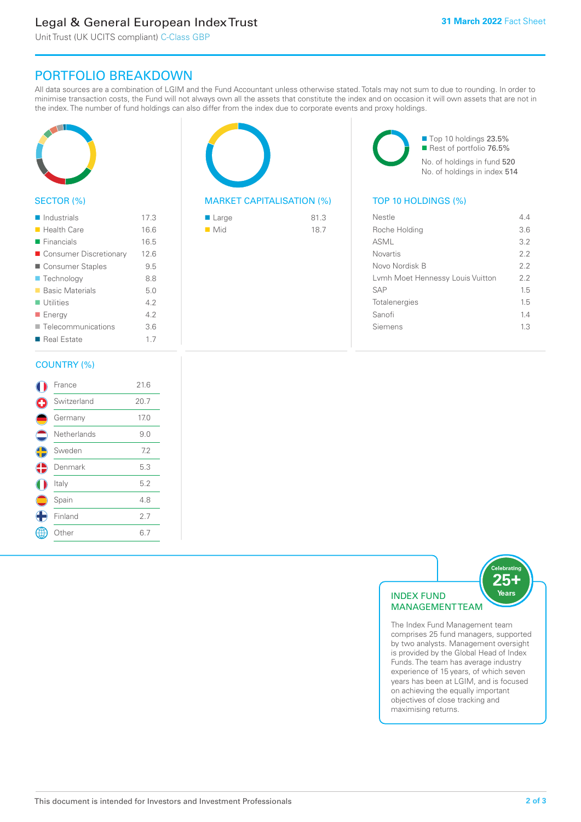# Legal & General European Index Trust

Unit Trust (UK UCITS compliant) C-Class GBP

## PORTFOLIO BREAKDOWN

All data sources are a combination of LGIM and the Fund Accountant unless otherwise stated. Totals may not sum to due to rounding. In order to minimise transaction costs, the Fund will not always own all the assets that constitute the index and on occasion it will own assets that are not in the index. The number of fund holdings can also differ from the index due to corporate events and proxy holdings.



#### SECTOR (%)

| $\blacksquare$ Industrials | 17.3 |
|----------------------------|------|
| <b>Health Care</b>         | 16.6 |
| $\blacksquare$ Financials  | 16.5 |
| ■ Consumer Discretionary   | 12.6 |
| ■ Consumer Staples         | 9.5  |
| ■ Technology               | 8.8  |
| <b>Basic Materials</b>     | 5.0  |
| $\blacksquare$ Utilities   | 42   |
| ■ Energy                   | 4.2  |
| Telecommunications         | 3.6  |
| ■ Real Estate              | 1.7  |
|                            |      |

#### COUNTRY (%)

|            | France      | 21.6 |  |
|------------|-------------|------|--|
| ÷          | Switzerland | 20.7 |  |
|            | Germany     | 17.0 |  |
|            | Netherlands | 9.0  |  |
| $\bigodot$ | Sweden      | 7.2  |  |
| ♦          | Denmark     | 5.3  |  |
|            | Italy       | 5.2  |  |
|            | Spain       | 4.8  |  |
|            | Finland     | 2.7  |  |
|            | Other       | 6.7  |  |
|            |             |      |  |



#### MARKET CAPITALISATION (%) TOP 10 HOLDINGS (%)

| ■ Large            | 81.3 |
|--------------------|------|
| $\blacksquare$ Mid | 18.7 |

■ Top 10 holdings 23.5% Rest of portfolio 76.5% No. of holdings in fund 520 No. of holdings in index 514

| Nestle                           | 44  |
|----------------------------------|-----|
| Roche Holding                    | 3.6 |
| ASML                             | 3.2 |
| Novartis                         | 2.2 |
| Novo Nordisk B                   | 22  |
| Lymh Moet Hennessy Louis Vuitton | 22  |
| <b>SAP</b>                       | 1.5 |
| Totalenergies                    | 15  |
| Sanofi                           | 1.4 |
| Siemens                          | 13  |
|                                  |     |



The Index Fund Management team comprises 25 fund managers, supported by two analysts. Management oversight is provided by the Global Head of Index Funds. The team has average industry experience of 15 years, of which seven years has been at LGIM, and is focused on achieving the equally important objectives of close tracking and maximising returns.